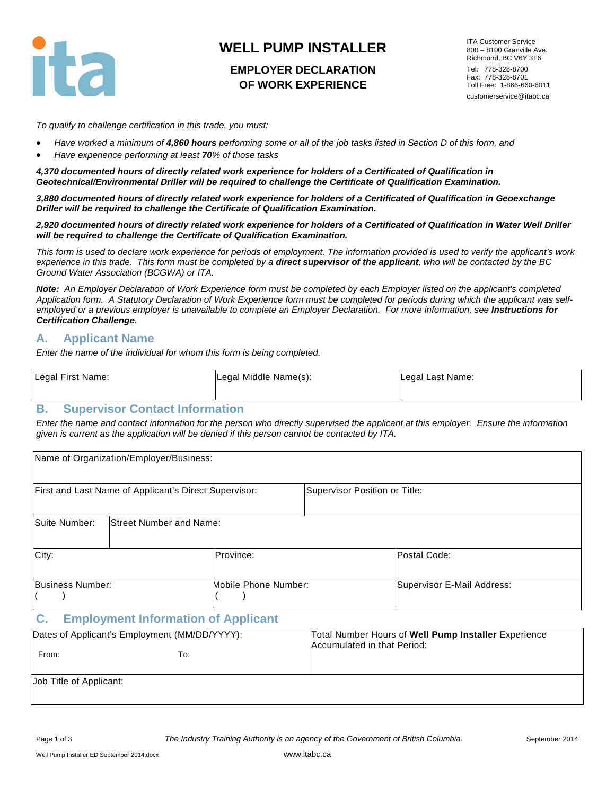

# **WELL PUMP INSTALLER**

## **EMPLOYER DECLARATION OF WORK EXPERIENCE**

ITA Customer Service 800 – 8100 Granville Ave. Richmond, BC V6Y 3T6 Tel: 778-328-8700 Fax: 778-328-8701 Toll Free: 1-866-660-6011 customerservice@itabc.ca

*To qualify to challenge certification in this trade, you must:*

- *Have worked a minimum of 4,860 hours performing some or all of the job tasks listed in Section D of this form, and*
- *Have experience performing at least 70% of those tasks*

*4,370 documented hours of directly related work experience for holders of a Certificated of Qualification in Geotechnical/Environmental Driller will be required to challenge the Certificate of Qualification Examination.*

*3,880 documented hours of directly related work experience for holders of a Certificated of Qualification in Geoexchange Driller will be required to challenge the Certificate of Qualification Examination.*

*2,920 documented hours of directly related work experience for holders of a Certificated of Qualification in Water Well Driller will be required to challenge the Certificate of Qualification Examination.*

*This form is used to declare work experience for periods of employment. The information provided is used to verify the applicant's work*  experience in this trade. This form must be completed by a **direct supervisor of the applicant**, who will be contacted by the BC *Ground Water Association (BCGWA) or ITA.*

*Note: An Employer Declaration of Work Experience form must be completed by each Employer listed on the applicant's completed Application form. A Statutory Declaration of Work Experience form must be completed for periods during which the applicant was selfemployed or a previous employer is unavailable to complete an Employer Declaration. For more information, see Instructions for Certification Challenge.*

#### **A. Applicant Name**

*Enter the name of the individual for whom this form is being completed.*

| Legal First Name: | Legal Middle Name(s): | Legal Last Name: |
|-------------------|-----------------------|------------------|
|                   |                       |                  |

#### **B. Supervisor Contact Information**

*Enter the name and contact information for the person who directly supervised the applicant at this employer. Ensure the information given is current as the application will be denied if this person cannot be contacted by ITA.*

|                  | Name of Organization/Employer/Business:               |                      |                               |                            |
|------------------|-------------------------------------------------------|----------------------|-------------------------------|----------------------------|
|                  | First and Last Name of Applicant's Direct Supervisor: |                      | Supervisor Position or Title: |                            |
| Suite Number:    | <b>Street Number and Name:</b>                        |                      |                               |                            |
| City:            |                                                       | Province:            |                               | Postal Code:               |
| Business Number: |                                                       | Mobile Phone Number: |                               | Supervisor E-Mail Address: |

#### **C. Employment Information of Applicant**

| Dates of Applicant's Employment (MM/DD/YYYY):<br>From:<br>To: | Total Number Hours of Well Pump Installer Experience<br>Accumulated in that Period: |
|---------------------------------------------------------------|-------------------------------------------------------------------------------------|
| Job Title of Applicant:                                       |                                                                                     |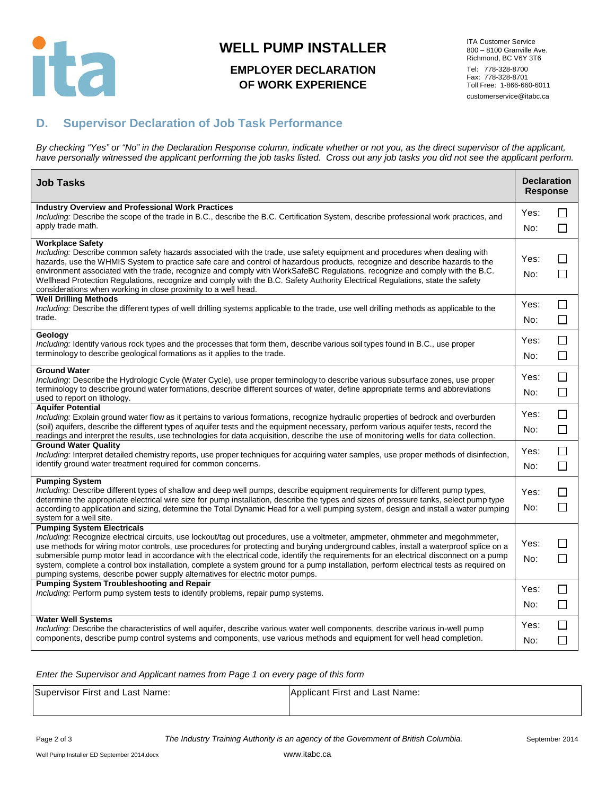

# **WELL PUMP INSTALLER**

# **EMPLOYER DECLARATION OF WORK EXPERIENCE**

ITA Customer Service 800 – 8100 Granville Ave. Richmond, BC V6Y 3T6 Tel: 778-328-8700 Fax: 778-328-8701 Toll Free: 1-866-660-6011 customerservice@itabc.ca

## **D. Supervisor Declaration of Job Task Performance**

*By checking "Yes" or "No" in the Declaration Response column, indicate whether or not you, as the direct supervisor of the applicant, have personally witnessed the applicant performing the job tasks listed. Cross out any job tasks you did not see the applicant perform.*

| <b>Job Tasks</b>                                                                                                                                                                                                                                                                                                                                                                                                                                                                                                                                                                                                                                                                | <b>Declaration</b><br><b>Response</b> |                         |
|---------------------------------------------------------------------------------------------------------------------------------------------------------------------------------------------------------------------------------------------------------------------------------------------------------------------------------------------------------------------------------------------------------------------------------------------------------------------------------------------------------------------------------------------------------------------------------------------------------------------------------------------------------------------------------|---------------------------------------|-------------------------|
| <b>Industry Overview and Professional Work Practices</b><br>Including: Describe the scope of the trade in B.C., describe the B.C. Certification System, describe professional work practices, and<br>apply trade math.                                                                                                                                                                                                                                                                                                                                                                                                                                                          | Yes:<br>No:                           | $\mathsf{L}$<br>П       |
| Workplace Safety<br>Including: Describe common safety hazards associated with the trade, use safety equipment and procedures when dealing with<br>hazards, use the WHMIS System to practice safe care and control of hazardous products, recognize and describe hazards to the<br>environment associated with the trade, recognize and comply with WorkSafeBC Regulations, recognize and comply with the B.C.<br>Wellhead Protection Regulations, recognize and comply with the B.C. Safety Authority Electrical Regulations, state the safety<br>considerations when working in close proximity to a well head.                                                                | Yes:<br>No:                           | $\mathsf{L}$<br>$\Box$  |
| <b>Well Drilling Methods</b><br>Including: Describe the different types of well drilling systems applicable to the trade, use well drilling methods as applicable to the<br>trade.                                                                                                                                                                                                                                                                                                                                                                                                                                                                                              | Yes:<br>No:                           | $\Box$<br>$\Box$        |
| Geology<br>Including: Identify various rock types and the processes that form them, describe various soil types found in B.C., use proper<br>terminology to describe geological formations as it applies to the trade.                                                                                                                                                                                                                                                                                                                                                                                                                                                          | Yes:<br>No:                           | $\perp$<br>$\Box$       |
| <b>Ground Water</b><br>Including: Describe the Hydrologic Cycle (Water Cycle), use proper terminology to describe various subsurface zones, use proper<br>terminology to describe ground water formations, describe different sources of water, define appropriate terms and abbreviations<br>used to report on lithology.                                                                                                                                                                                                                                                                                                                                                      | Yes:<br>No:                           | $\perp$<br>$\mathsf{L}$ |
| <b>Aquifer Potential</b><br>Including: Explain ground water flow as it pertains to various formations, recognize hydraulic properties of bedrock and overburden<br>(soil) aquifers, describe the different types of aquifer tests and the equipment necessary, perform various aquifer tests, record the<br>readings and interpret the results, use technologies for data acquisition, describe the use of monitoring wells for data collection.                                                                                                                                                                                                                                | Yes:<br>No:                           | □<br>П                  |
| <b>Ground Water Quality</b><br>Including: Interpret detailed chemistry reports, use proper techniques for acquiring water samples, use proper methods of disinfection,<br>identify ground water treatment required for common concerns.                                                                                                                                                                                                                                                                                                                                                                                                                                         | Yes:<br>No:                           | $\Box$<br>$\Box$        |
| <b>Pumping System</b><br>Including: Describe different types of shallow and deep well pumps, describe equipment requirements for different pump types,<br>determine the appropriate electrical wire size for pump installation, describe the types and sizes of pressure tanks, select pump type<br>according to application and sizing, determine the Total Dynamic Head for a well pumping system, design and install a water pumping<br>system for a well site.                                                                                                                                                                                                              | Yes:<br>No:                           | $\mathsf{L}$<br>$\perp$ |
| <b>Pumping System Electricals</b><br>Including: Recognize electrical circuits, use lockout/tag out procedures, use a voltmeter, ampmeter, ohmmeter and megohmmeter,<br>use methods for wiring motor controls, use procedures for protecting and burying underground cables, install a waterproof splice on a<br>submersible pump motor lead in accordance with the electrical code, identify the requirements for an electrical disconnect on a pump<br>system, complete a control box installation, complete a system ground for a pump installation, perform electrical tests as required on<br>pumping systems, describe power supply alternatives for electric motor pumps. | Yes:<br>No:                           | l 1<br>$\Box$           |
| <b>Pumping System Troubleshooting and Repair</b><br>Including: Perform pump system tests to identify problems, repair pump systems.                                                                                                                                                                                                                                                                                                                                                                                                                                                                                                                                             | Yes:<br>No:                           | $\Box$<br>$\Box$        |
| <b>Water Well Systems</b><br>Including: Describe the characteristics of well aquifer, describe various water well components, describe various in-well pump<br>components, describe pump control systems and components, use various methods and equipment for well head completion.                                                                                                                                                                                                                                                                                                                                                                                            | Yes:<br>No:                           | $\mathsf{L}$<br>$\Box$  |

*Enter the Supervisor and Applicant names from Page 1 on every page of this form*

| Supervisor First and Last Name: | Applicant First and Last Name: |
|---------------------------------|--------------------------------|
|                                 |                                |

Page 2 of 3 *The Industry Training Authority is an agency of the Government of British Columbia.* September 2014